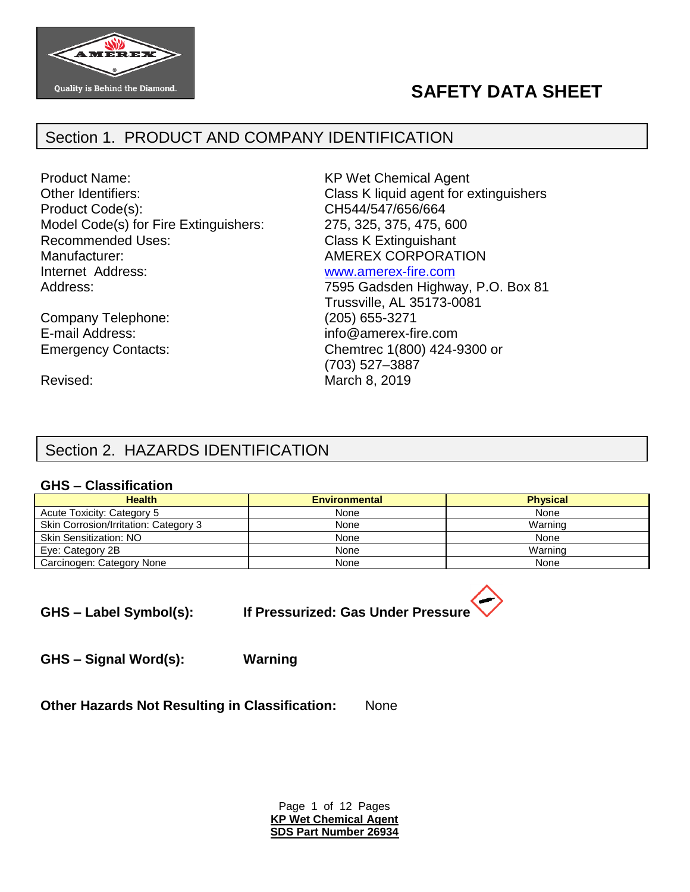

# **SAFETY DATA SHEET**

# Section 1. PRODUCT AND COMPANY IDENTIFICATION

Product Name: KP Wet Chemical Agent Other Identifiers: Class K liquid agent for extinguishers Product Code(s): CH544/547/656/664 Model Code(s) for Fire Extinguishers: 275, 325, 375, 475, 600 Recommended Uses: Class K Extinguishant Manufacturer:  $\blacksquare$  AMEREX CORPORATION Internet Address: [www.amerex-fire.com](http://www.amerex-fire.com/) Address: Mathematic Mathematic Metal Contract 7595 Gadsden Highway, P.O. Box 81

Company Telephone: E-mail Address: info@amerex-fire.com

Trussville, AL 35173-0081 Emergency Contacts: Chemtrec 1(800) 424-9300 or (703) 527–3887 Revised: Narch 8, 2019

# Section 2. HAZARDS IDENTIFICATION

#### **GHS – Classification**

| <b>Health</b>                         | <b>Environmental</b> | <b>Physical</b> |
|---------------------------------------|----------------------|-----------------|
| Acute Toxicity: Category 5            | None                 | None            |
| Skin Corrosion/Irritation: Category 3 | None                 | Warning         |
| <b>Skin Sensitization: NO</b>         | None                 | None            |
| Eye: Category 2B                      | None                 | Warning         |
| Carcinogen: Category None             | None                 | None            |

**GHS – Label Symbol(s): If Pressurized: Gas Under Pressure**

**GHS – Signal Word(s): Warning**

**Other Hazards Not Resulting in Classification:** None

Page 1 of 12 Pages **KP Wet Chemical Agent SDS Part Number 26934**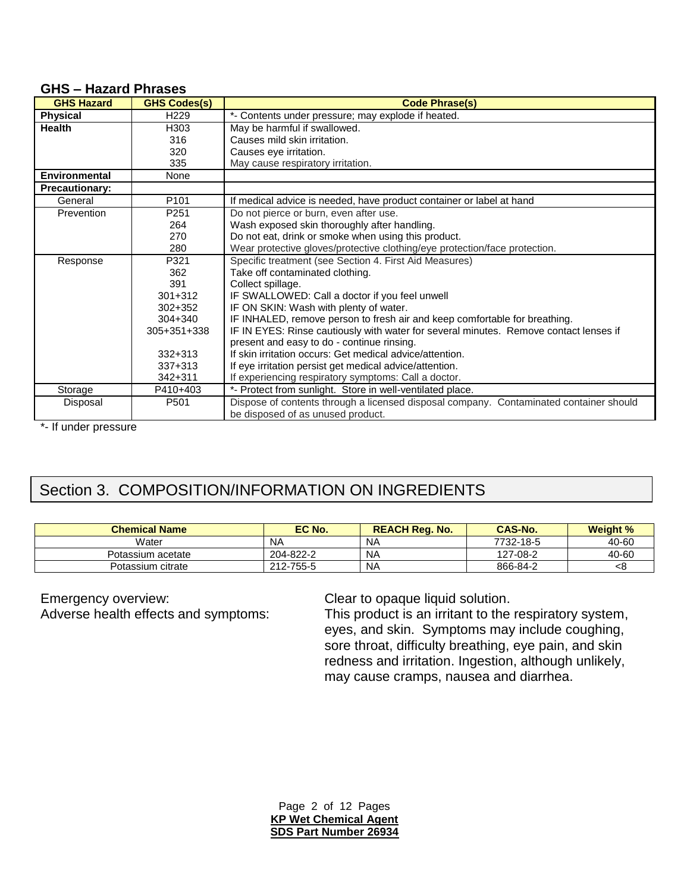|  |  | <b>GHS-Hazard Phrases</b> |
|--|--|---------------------------|
|--|--|---------------------------|

| <b>GHS Hazard</b>     | <b>GHS Codes(s)</b> | <b>Code Phrase(s)</b>                                                                  |
|-----------------------|---------------------|----------------------------------------------------------------------------------------|
| <b>Physical</b>       | H <sub>229</sub>    | *- Contents under pressure; may explode if heated.                                     |
| Health                | H303                | May be harmful if swallowed.                                                           |
|                       | 316                 | Causes mild skin irritation.                                                           |
|                       | 320                 | Causes eye irritation.                                                                 |
|                       | 335                 | May cause respiratory irritation.                                                      |
| <b>Environmental</b>  | None                |                                                                                        |
| <b>Precautionary:</b> |                     |                                                                                        |
| General               | P <sub>101</sub>    | If medical advice is needed, have product container or label at hand                   |
| Prevention            | P <sub>251</sub>    | Do not pierce or burn, even after use.                                                 |
|                       | 264                 | Wash exposed skin thoroughly after handling.                                           |
|                       | 270                 | Do not eat, drink or smoke when using this product.                                    |
|                       | 280                 | Wear protective gloves/protective clothing/eye protection/face protection.             |
| Response              | P321                | Specific treatment (see Section 4. First Aid Measures)                                 |
|                       | 362                 | Take off contaminated clothing.                                                        |
|                       | 391                 | Collect spillage.                                                                      |
|                       | $301 + 312$         | IF SWALLOWED: Call a doctor if you feel unwell                                         |
|                       | $302 + 352$         | IF ON SKIN: Wash with plenty of water.                                                 |
|                       | $304 + 340$         | IF INHALED, remove person to fresh air and keep comfortable for breathing.             |
|                       | 305+351+338         | IF IN EYES: Rinse cautiously with water for several minutes. Remove contact lenses if  |
|                       |                     | present and easy to do - continue rinsing.                                             |
|                       | $332 + 313$         | If skin irritation occurs: Get medical advice/attention.                               |
|                       | 337+313             | If eye irritation persist get medical advice/attention.                                |
|                       | 342+311             | If experiencing respiratory symptoms: Call a doctor.                                   |
| Storage               | P410+403            | *- Protect from sunlight. Store in well-ventilated place.                              |
| Disposal              | P <sub>501</sub>    | Dispose of contents through a licensed disposal company. Contaminated container should |
|                       |                     | be disposed of as unused product.                                                      |

\*- If under pressure

# Section 3. COMPOSITION/INFORMATION ON INGREDIENTS

| <b>Chemical Name</b> | EC No.    | <b>REACH Reg. No.</b> | <b>CAS-No.</b> | <b>Weight %</b> |
|----------------------|-----------|-----------------------|----------------|-----------------|
| Water                | ΝA        | NA                    | 7732-18-5      | 40-60           |
| Potassium acetate    | 204-822-2 | <b>NA</b>             | 127-08-2       | 40-60           |
| Potassium citrate    | 212-755-5 | <b>NA</b>             | 866-84-2       |                 |

Emergency overview:<br>
Adverse health effects and symptoms:<br>
This product is an irritant to the

This product is an irritant to the respiratory system, eyes, and skin. Symptoms may include coughing, sore throat, difficulty breathing, eye pain, and skin redness and irritation. Ingestion, although unlikely, may cause cramps, nausea and diarrhea.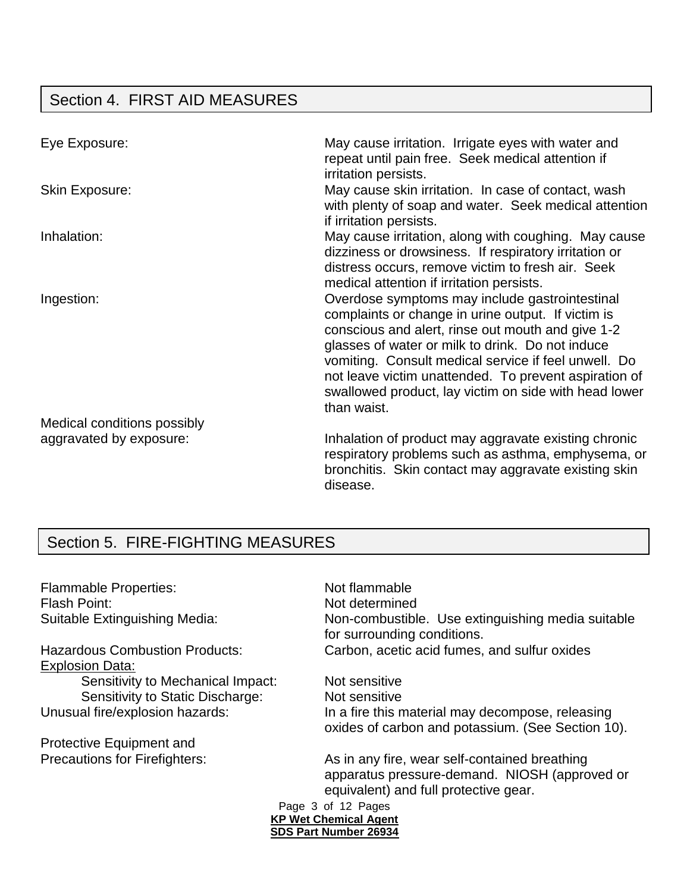# Section 4. FIRST AID MEASURES

| Eye Exposure:               | May cause irritation. Irrigate eyes with water and<br>repeat until pain free. Seek medical attention if<br>irritation persists.                                                                                                                                                                                                                                                                        |
|-----------------------------|--------------------------------------------------------------------------------------------------------------------------------------------------------------------------------------------------------------------------------------------------------------------------------------------------------------------------------------------------------------------------------------------------------|
| <b>Skin Exposure:</b>       | May cause skin irritation. In case of contact, wash<br>with plenty of soap and water. Seek medical attention<br>if irritation persists.                                                                                                                                                                                                                                                                |
| Inhalation:                 | May cause irritation, along with coughing. May cause<br>dizziness or drowsiness. If respiratory irritation or<br>distress occurs, remove victim to fresh air. Seek<br>medical attention if irritation persists.                                                                                                                                                                                        |
| Ingestion:                  | Overdose symptoms may include gastrointestinal<br>complaints or change in urine output. If victim is<br>conscious and alert, rinse out mouth and give 1-2<br>glasses of water or milk to drink. Do not induce<br>vomiting. Consult medical service if feel unwell. Do<br>not leave victim unattended. To prevent aspiration of<br>swallowed product, lay victim on side with head lower<br>than waist. |
| Medical conditions possibly |                                                                                                                                                                                                                                                                                                                                                                                                        |
| aggravated by exposure:     | Inhalation of product may aggravate existing chronic<br>respiratory problems such as asthma, emphysema, or<br>bronchitis. Skin contact may aggravate existing skin<br>disease.                                                                                                                                                                                                                         |

# Section 5. FIRE-FIGHTING MEASURES

Flammable Properties: Not flammable Flash Point: Not determined

Explosion Data: Sensitivity to Mechanical Impact: Not sensitive Sensitivity to Static Discharge: Not sensitive

Protective Equipment and

Suitable Extinguishing Media: Non-combustible. Use extinguishing media suitable for surrounding conditions. Hazardous Combustion Products: Carbon, acetic acid fumes, and sulfur oxides

Unusual fire/explosion hazards: In a fire this material may decompose, releasing oxides of carbon and potassium. (See Section 10).

Precautions for Firefighters: As in any fire, wear self-contained breathing apparatus pressure-demand. NIOSH (approved or equivalent) and full protective gear.

Page 3 of 12 Pages **KP Wet Chemical Agent SDS Part Number 26934**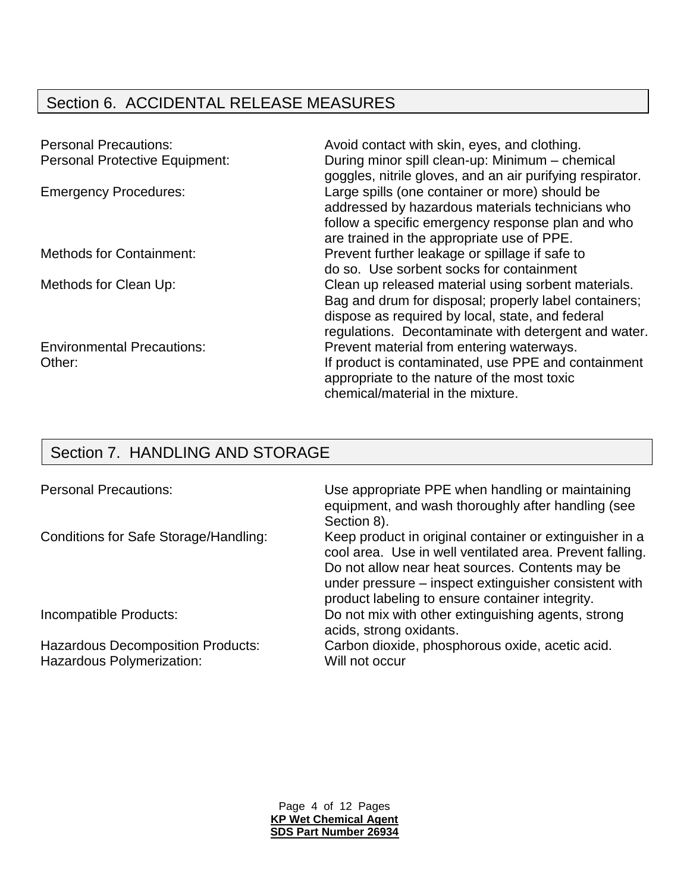# Section 6. ACCIDENTAL RELEASE MEASURES

| <b>Personal Precautions:</b>          | Avoid contact with skin, eyes, and clothing.              |
|---------------------------------------|-----------------------------------------------------------|
| <b>Personal Protective Equipment:</b> | During minor spill clean-up: Minimum - chemical           |
|                                       | goggles, nitrile gloves, and an air purifying respirator. |
| <b>Emergency Procedures:</b>          | Large spills (one container or more) should be            |
|                                       | addressed by hazardous materials technicians who          |
|                                       | follow a specific emergency response plan and who         |
|                                       | are trained in the appropriate use of PPE.                |
| <b>Methods for Containment:</b>       | Prevent further leakage or spillage if safe to            |
|                                       | do so. Use sorbent socks for containment                  |
| Methods for Clean Up:                 | Clean up released material using sorbent materials.       |
|                                       | Bag and drum for disposal; properly label containers;     |
|                                       | dispose as required by local, state, and federal          |
|                                       | regulations. Decontaminate with detergent and water.      |
| <b>Environmental Precautions:</b>     | Prevent material from entering waterways.                 |
| Other:                                | If product is contaminated, use PPE and containment       |
|                                       | appropriate to the nature of the most toxic               |
|                                       | chemical/material in the mixture.                         |
|                                       |                                                           |

# Section 7. HANDLING AND STORAGE

Hazardous Polymerization: Will not occur

Personal Precautions: Use appropriate PPE when handling or maintaining equipment, and wash thoroughly after handling (see Section 8).

Conditions for Safe Storage/Handling: Keep product in original container or extinguisher in a cool area. Use in well ventilated area. Prevent falling. Do not allow near heat sources. Contents may be under pressure – inspect extinguisher consistent with product labeling to ensure container integrity. Incompatible Products: Do not mix with other extinguishing agents, strong

acids, strong oxidants.

Hazardous Decomposition Products: Carbon dioxide, phosphorous oxide, acetic acid.

Page 4 of 12 Pages **KP Wet Chemical Agent SDS Part Number 26934**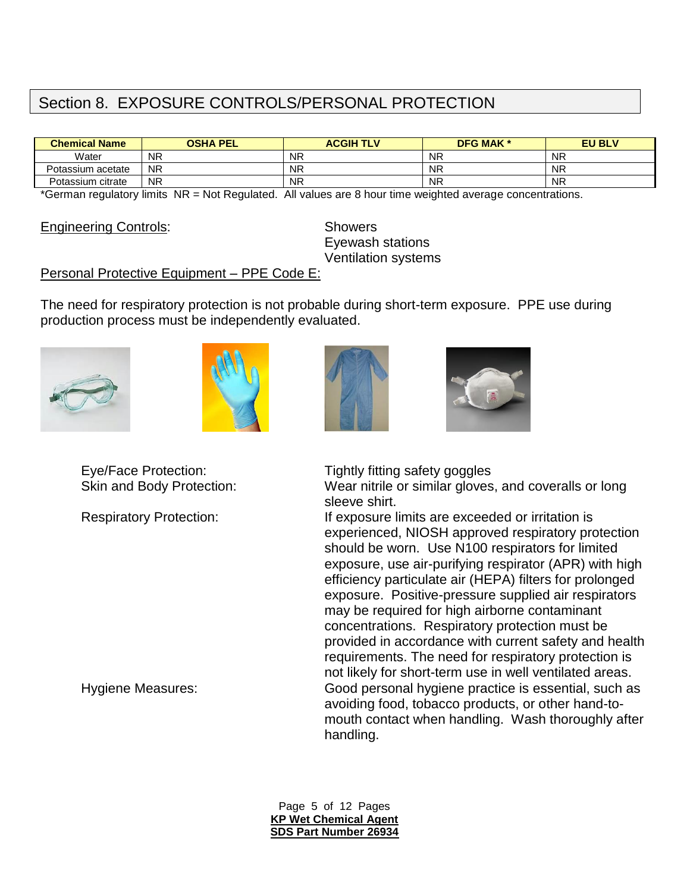# Section 8. EXPOSURE CONTROLS/PERSONAL PROTECTION

| <b>Chemical Name</b> | <b>OSHA PEL</b> | <b>ACGIH TLV</b> | <b>DFG MAK *</b> | <b>EU BLV</b> |
|----------------------|-----------------|------------------|------------------|---------------|
| Water                | <b>NR</b>       | <b>NR</b>        | <b>NR</b>        | <b>NR</b>     |
| Potassium acetate    | <b>NR</b>       | <b>NR</b>        | <b>NR</b>        | <b>NR</b>     |
| Potassium citrate    | <b>NR</b>       | <b>NR</b>        | <b>NR</b>        | <b>NR</b>     |

\*German regulatory limits NR = Not Regulated. All values are 8 hour time weighted average concentrations.

Engineering Controls: Showers

Eyewash stations Ventilation systems

#### Personal Protective Equipment – PPE Code E:

The need for respiratory protection is not probable during short-term exposure. PPE use during production process must be independently evaluated.









Eye/Face Protection: Tightly fitting safety goggles

Skin and Body Protection: Wear nitrile or similar gloves, and coveralls or long sleeve shirt.

Respiratory Protection: If exposure limits are exceeded or irritation is experienced, NIOSH approved respiratory protection should be worn. Use N100 respirators for limited exposure, use air-purifying respirator (APR) with high efficiency particulate air (HEPA) filters for prolonged exposure. Positive-pressure supplied air respirators may be required for high airborne contaminant concentrations. Respiratory protection must be provided in accordance with current safety and health requirements. The need for respiratory protection is not likely for short-term use in well ventilated areas. Hygiene Measures: Good personal hygiene practice is essential, such as avoiding food, tobacco products, or other hand-tomouth contact when handling. Wash thoroughly after handling.

> Page 5 of 12 Pages **KP Wet Chemical Agent SDS Part Number 26934**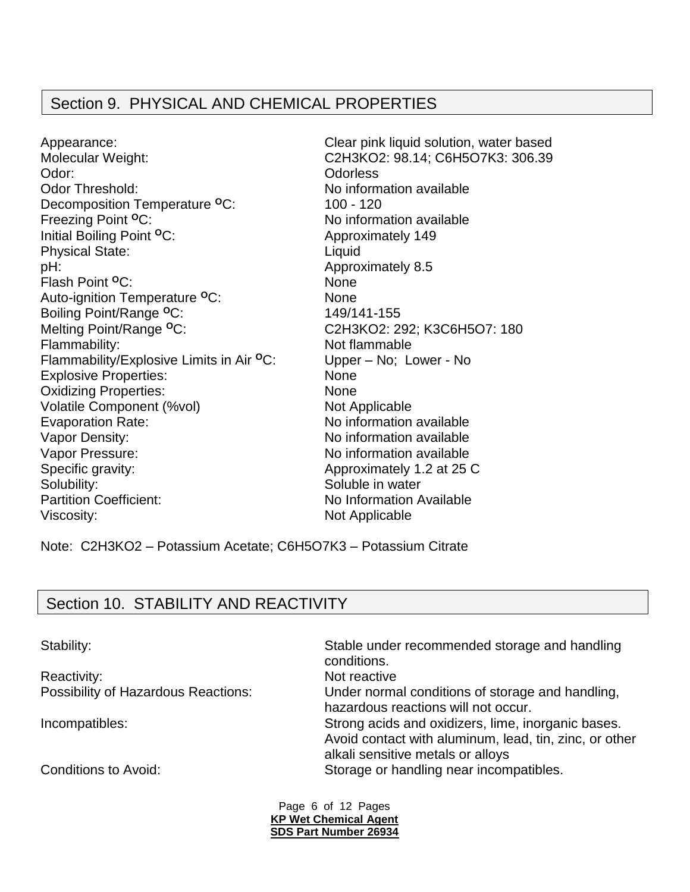## Section 9. PHYSICAL AND CHEMICAL PROPERTIES

Appearance: Clear pink liquid solution, water based Molecular Weight: C2H3KO2: 98.14; C6H5O7K3: 306.39 Odor: Odorless Odor Threshold: No information available Decomposition Temperature <sup>o</sup>C: 100 - 120 Freezing Point <sup>o</sup>C: No information available Initial Boiling Point <sup>o</sup>C: Approximately 149 Physical State: Liquid pH:  $\blacksquare$ Flash Point **<sup>O</sup>**C: None Auto-ignition Temperature **<sup>O</sup>**C: None Boiling Point/Range **<sup>O</sup>**C: 149/141-155 Melting Point/Range **<sup>O</sup>**C: C2H3KO2: 292; K3C6H5O7: 180 Flammability: Not flammable Flammability/Explosive Limits in Air **<sup>O</sup>**C: Upper – No; Lower - No Explosive Properties: None Oxidizing Properties: None Volatile Component (%vol) Not Applicable Evaporation Rate: No information available Vapor Density:  $\blacksquare$  No information available Vapor Pressure:  $\blacksquare$ Specific gravity: Approximately 1.2 at 25 C Solubility: Soluble in water Partition Coefficient: No Information Available Viscosity: Not Applicable

Note: C2H3KO2 – Potassium Acetate; C6H5O7K3 – Potassium Citrate

## Section 10. STABILITY AND REACTIVITY

Stability: Stable under recommended storage and handling conditions. Reactivity: Not reactive Possibility of Hazardous Reactions: Under normal conditions of storage and handling, hazardous reactions will not occur. Incompatibles: Strong acids and oxidizers, lime, inorganic bases. Avoid contact with aluminum, lead, tin, zinc, or other alkali sensitive metals or alloys Conditions to Avoid: Storage or handling near incompatibles.

> Page 6 of 12 Pages **KP Wet Chemical Agent SDS Part Number 26934**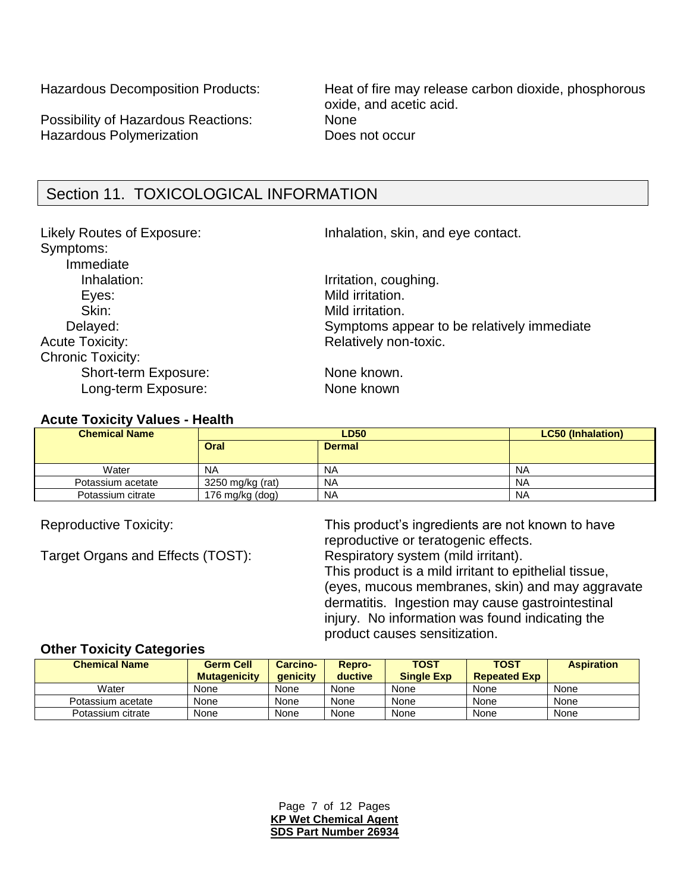Possibility of Hazardous Reactions: None Hazardous Polymerization **Does not occur** 

Hazardous Decomposition Products: Heat of fire may release carbon dioxide, phosphorous oxide, and acetic acid.

## Section 11. TOXICOLOGICAL INFORMATION

Symptoms: Immediate Inhalation: Inhalation: Inhalation, coughing. Eyes: Exercise Contract Contract Mild irritation. Skin: Skin: Mild irritation. Acute Toxicity: Acute Toxicity: Acute Toxicity: Chronic Toxicity: Short-term Exposure: None known. Long-term Exposure: None known

Likely Routes of Exposure: Inhalation, skin, and eye contact.

Delayed: Delayed: Symptoms appear to be relatively immediate

#### **Acute Toxicity Values - Health**

| <b>Chemical Name</b> | <b>LD50</b>      |               | <b>LC50 (Inhalation)</b> |
|----------------------|------------------|---------------|--------------------------|
|                      | Oral             | <b>Dermal</b> |                          |
|                      |                  |               |                          |
| Water                | <b>NA</b>        | <b>NA</b>     | <b>NA</b>                |
| Potassium acetate    | 3250 mg/kg (rat) | <b>NA</b>     | <b>NA</b>                |
| Potassium citrate    | 176 mg/kg (dog)  | <b>NA</b>     | <b>NA</b>                |

Target Organs and Effects (TOST): Respiratory system (mild irritant).

Reproductive Toxicity: This product's ingredients are not known to have reproductive or teratogenic effects. This product is a mild irritant to epithelial tissue, (eyes, mucous membranes, skin) and may aggravate dermatitis. Ingestion may cause gastrointestinal injury. No information was found indicating the product causes sensitization.

#### **Other Toxicity Categories**

| <b>Chemical Name</b> | <b>Germ Cell</b><br><b>Mutagenicity</b> | <b>Carcino-</b><br><b>aenicity</b> | Repro-<br>ductive | <b>TOST</b><br><b>Single Exp</b> | <b>TOST</b><br><b>Repeated Exp</b> | <b>Aspiration</b> |
|----------------------|-----------------------------------------|------------------------------------|-------------------|----------------------------------|------------------------------------|-------------------|
| Water                | None                                    | None                               | None              | None                             | None                               | None              |
| Potassium acetate    | None                                    | None                               | None              | None                             | None                               | None              |
| Potassium citrate    | None                                    | None                               | None              | None                             | None                               | None              |

Page 7 of 12 Pages **KP Wet Chemical Agent SDS Part Number 26934**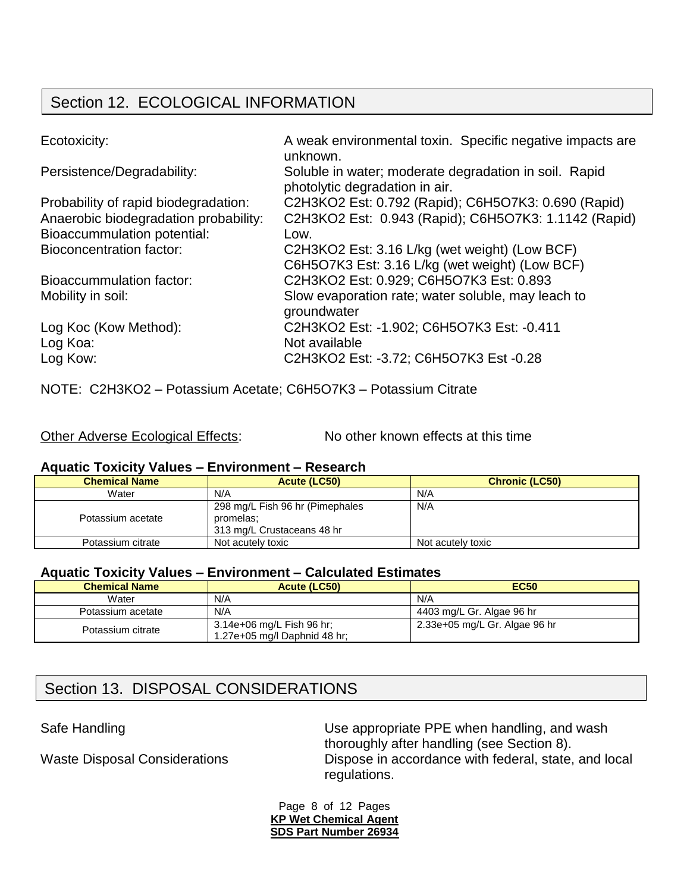# Section 12. ECOLOGICAL INFORMATION

| Ecotoxicity:                          | A weak environmental toxin. Specific negative impacts are<br>unknown.                   |
|---------------------------------------|-----------------------------------------------------------------------------------------|
| Persistence/Degradability:            | Soluble in water; moderate degradation in soil. Rapid<br>photolytic degradation in air. |
| Probability of rapid biodegradation:  | C2H3KO2 Est: 0.792 (Rapid); C6H5O7K3: 0.690 (Rapid)                                     |
| Anaerobic biodegradation probability: | C2H3KO2 Est: 0.943 (Rapid); C6H5O7K3: 1.1142 (Rapid)                                    |
| <b>Bioaccummulation potential:</b>    | Low.                                                                                    |
| <b>Bioconcentration factor:</b>       | C2H3KO2 Est: 3.16 L/kg (wet weight) (Low BCF)                                           |
|                                       | C6H5O7K3 Est: 3.16 L/kg (wet weight) (Low BCF)                                          |
| Bioaccummulation factor:              | C2H3KO2 Est: 0.929; C6H5O7K3 Est: 0.893                                                 |
| Mobility in soil:                     | Slow evaporation rate; water soluble, may leach to<br>groundwater                       |
| Log Koc (Kow Method):                 | C2H3KO2 Est: -1.902; C6H5O7K3 Est: -0.411                                               |
| Log Koa:                              | Not available                                                                           |
| Log Kow:                              | C2H3KO2 Est: -3.72; C6H5O7K3 Est -0.28                                                  |

NOTE: C2H3KO2 – Potassium Acetate; C6H5O7K3 – Potassium Citrate

|  | <b>Other Adverse Ecological Effects:</b> |  |
|--|------------------------------------------|--|
|  |                                          |  |

 $\mathbf E$ : No other known effects at this time

## **Aquatic Toxicity Values – Environment – Research**

| <b>Chemical Name</b> | Acute (LC50)                                                               | <b>Chronic (LC50)</b> |  |  |
|----------------------|----------------------------------------------------------------------------|-----------------------|--|--|
| Water                | N/A                                                                        | N/A                   |  |  |
| Potassium acetate    | 298 mg/L Fish 96 hr (Pimephales<br>promelas:<br>313 mg/L Crustaceans 48 hr | N/A                   |  |  |
| Potassium citrate    | Not acutely toxic                                                          | Not acutely toxic     |  |  |

## **Aquatic Toxicity Values – Environment – Calculated Estimates**

| <b>Chemical Name</b> | Acute (LC50)                                              | <b>EC50</b>                   |
|----------------------|-----------------------------------------------------------|-------------------------------|
| Water                | N/A                                                       | N/A                           |
| Potassium acetate    | N/A                                                       | 4403 mg/L Gr. Algae 96 hr     |
| Potassium citrate    | 3.14e+06 mg/L Fish 96 hr;<br>1.27e+05 mg/l Daphnid 48 hr; | 2.33e+05 mg/L Gr. Algae 96 hr |

# Section 13. DISPOSAL CONSIDERATIONS

Safe Handling **EXECUTE:** Use appropriate PPE when handling, and wash thoroughly after handling (see Section 8). Waste Disposal Considerations Dispose in accordance with federal, state, and local regulations.

> Page 8 of 12 Pages **KP Wet Chemical Agent SDS Part Number 26934**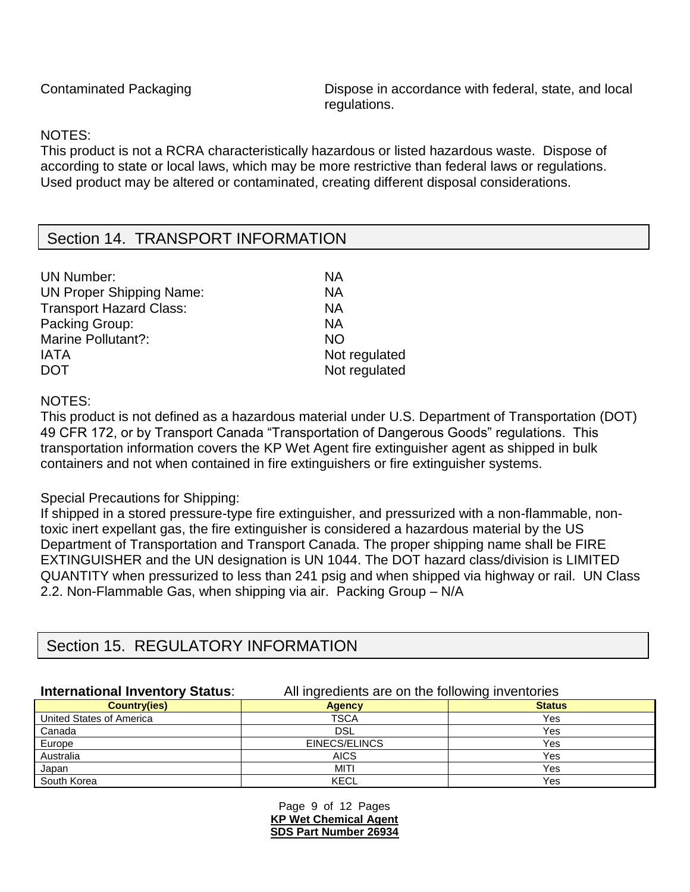Contaminated Packaging **Dispose in accordance with federal, state, and local** regulations.

## NOTES:

This product is not a RCRA characteristically hazardous or listed hazardous waste. Dispose of according to state or local laws, which may be more restrictive than federal laws or regulations. Used product may be altered or contaminated, creating different disposal considerations.

## Section 14. TRANSPORT INFORMATION

| <b>UN Number:</b>               | ΝA            |
|---------------------------------|---------------|
| <b>UN Proper Shipping Name:</b> | ΝA            |
| <b>Transport Hazard Class:</b>  | ΝA            |
| Packing Group:                  | ΝA            |
| <b>Marine Pollutant?:</b>       | <b>NO</b>     |
| <b>IATA</b>                     | Not regulated |
| <b>DOT</b>                      | Not regulated |
|                                 |               |

NOTES:

This product is not defined as a hazardous material under U.S. Department of Transportation (DOT) 49 CFR 172, or by Transport Canada "Transportation of Dangerous Goods" regulations. This transportation information covers the KP Wet Agent fire extinguisher agent as shipped in bulk containers and not when contained in fire extinguishers or fire extinguisher systems.

## Special Precautions for Shipping:

If shipped in a stored pressure-type fire extinguisher, and pressurized with a non-flammable, nontoxic inert expellant gas, the fire extinguisher is considered a hazardous material by the US Department of Transportation and Transport Canada. The proper shipping name shall be FIRE EXTINGUISHER and the UN designation is UN 1044. The DOT hazard class/division is LIMITED QUANTITY when pressurized to less than 241 psig and when shipped via highway or rail. UN Class 2.2. Non-Flammable Gas, when shipping via air. Packing Group – N/A

# Section 15. REGULATORY INFORMATION

**International Inventory Status**: All ingredients are on the following inventories

|                          | ັ             | ັ             |
|--------------------------|---------------|---------------|
| <b>Country(ies)</b>      | <b>Agency</b> | <b>Status</b> |
| United States of America | <b>TSCA</b>   | Yes           |
| Canada                   | DSL           | Yes           |
| Europe                   | EINECS/ELINCS | Yes           |
| Australia                | <b>AICS</b>   | Yes           |
| Japan                    | <b>MITI</b>   | Yes           |
| South Korea              | <b>KECL</b>   | Yes           |

Page 9 of 12 Pages **KP Wet Chemical Agent SDS Part Number 26934**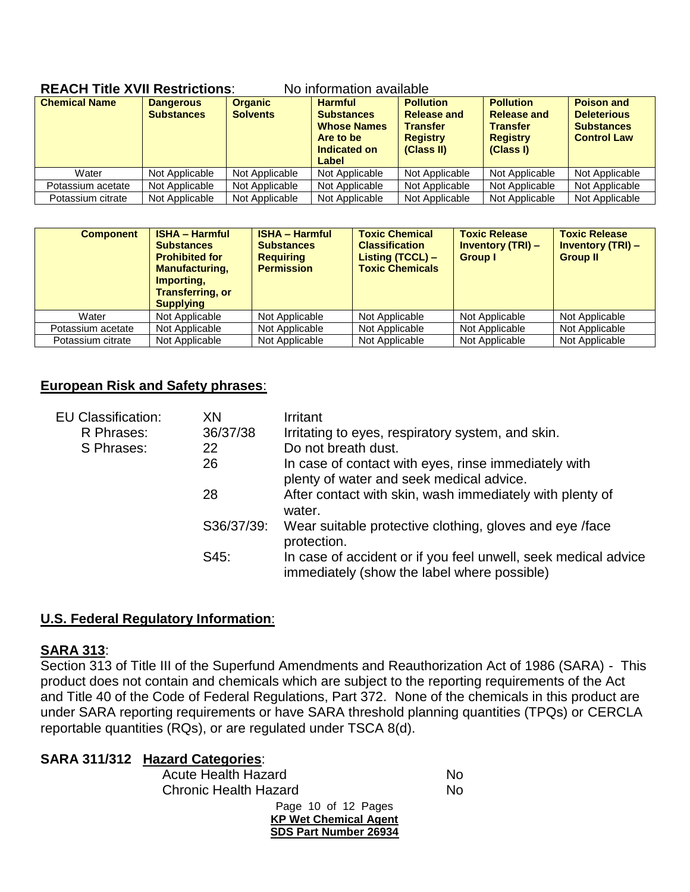| <b>Chemical Name</b> | <b>Dangerous</b><br><b>Substances</b> | <b>Organic</b><br><b>Solvents</b> | <b>Harmful</b><br><b>Substances</b><br><b>Whose Names</b><br>Are to be<br>Indicated on<br>Label | <b>Pollution</b><br><b>Release and</b><br><b>Transfer</b><br><b>Registry</b><br>(Class II) | <b>Pollution</b><br><b>Release and</b><br><b>Transfer</b><br><b>Registry</b><br>(Class I) | <b>Poison and</b><br><b>Deleterious</b><br><b>Substances</b><br><b>Control Law</b> |
|----------------------|---------------------------------------|-----------------------------------|-------------------------------------------------------------------------------------------------|--------------------------------------------------------------------------------------------|-------------------------------------------------------------------------------------------|------------------------------------------------------------------------------------|
| Water                | Not Applicable                        | Not Applicable                    | Not Applicable                                                                                  | Not Applicable                                                                             | Not Applicable                                                                            | Not Applicable                                                                     |
| Potassium acetate    | Not Applicable                        | Not Applicable                    | Not Applicable                                                                                  | Not Applicable                                                                             | Not Applicable                                                                            | Not Applicable                                                                     |
| Potassium citrate    | Not Applicable                        | Not Applicable                    | Not Applicable                                                                                  | Not Applicable                                                                             | Not Applicable                                                                            | Not Applicable                                                                     |

#### **REACH Title XVII Restrictions**: No information available

| <b>Component</b>  | <b>ISHA - Harmful</b><br><b>Substances</b><br><b>Prohibited for</b><br><b>Manufacturing,</b><br>Importing,<br><b>Transferring, or</b><br><b>Supplying</b> | <b>ISHA - Harmful</b><br><b>Substances</b><br><b>Requiring</b><br><b>Permission</b> | <b>Toxic Chemical</b><br><b>Classification</b><br>Listing (TCCL) -<br><b>Toxic Chemicals</b> | <b>Toxic Release</b><br><b>Inventory (TRI) –</b><br><b>Group I</b> | <b>Toxic Release</b><br><b>Inventory (TRI) –</b><br><b>Group II</b> |
|-------------------|-----------------------------------------------------------------------------------------------------------------------------------------------------------|-------------------------------------------------------------------------------------|----------------------------------------------------------------------------------------------|--------------------------------------------------------------------|---------------------------------------------------------------------|
| Water             | Not Applicable                                                                                                                                            | Not Applicable                                                                      | Not Applicable                                                                               | Not Applicable                                                     | Not Applicable                                                      |
| Potassium acetate | Not Applicable                                                                                                                                            | Not Applicable                                                                      | Not Applicable                                                                               | Not Applicable                                                     | Not Applicable                                                      |
| Potassium citrate | Not Applicable                                                                                                                                            | Not Applicable                                                                      | Not Applicable                                                                               | Not Applicable                                                     | Not Applicable                                                      |

## **European Risk and Safety phrases**:

| <b>EU Classification:</b> | XN         | Irritant                                                                                                      |
|---------------------------|------------|---------------------------------------------------------------------------------------------------------------|
| R Phrases:                | 36/37/38   | Irritating to eyes, respiratory system, and skin.                                                             |
| S Phrases:                | 22         | Do not breath dust.                                                                                           |
|                           | 26         | In case of contact with eyes, rinse immediately with<br>plenty of water and seek medical advice.              |
|                           | 28         | After contact with skin, wash immediately with plenty of<br>water.                                            |
|                           | S36/37/39: | Wear suitable protective clothing, gloves and eye /face<br>protection.                                        |
|                           | S45:       | In case of accident or if you feel unwell, seek medical advice<br>immediately (show the label where possible) |

## **U.S. Federal Regulatory Information**:

## **SARA 313**:

Section 313 of Title III of the Superfund Amendments and Reauthorization Act of 1986 (SARA) - This product does not contain and chemicals which are subject to the reporting requirements of the Act and Title 40 of the Code of Federal Regulations, Part 372. None of the chemicals in this product are under SARA reporting requirements or have SARA threshold planning quantities (TPQs) or CERCLA reportable quantities (RQs), or are regulated under TSCA 8(d).

|  | <b>SARA 311/312 Hazard Categories:</b>                                              |           |
|--|-------------------------------------------------------------------------------------|-----------|
|  | <b>Acute Health Hazard</b>                                                          | No        |
|  | <b>Chronic Health Hazard</b>                                                        | <b>No</b> |
|  | Page 10 of 12 Pages<br><b>KP Wet Chemical Agent</b><br><b>SDS Part Number 26934</b> |           |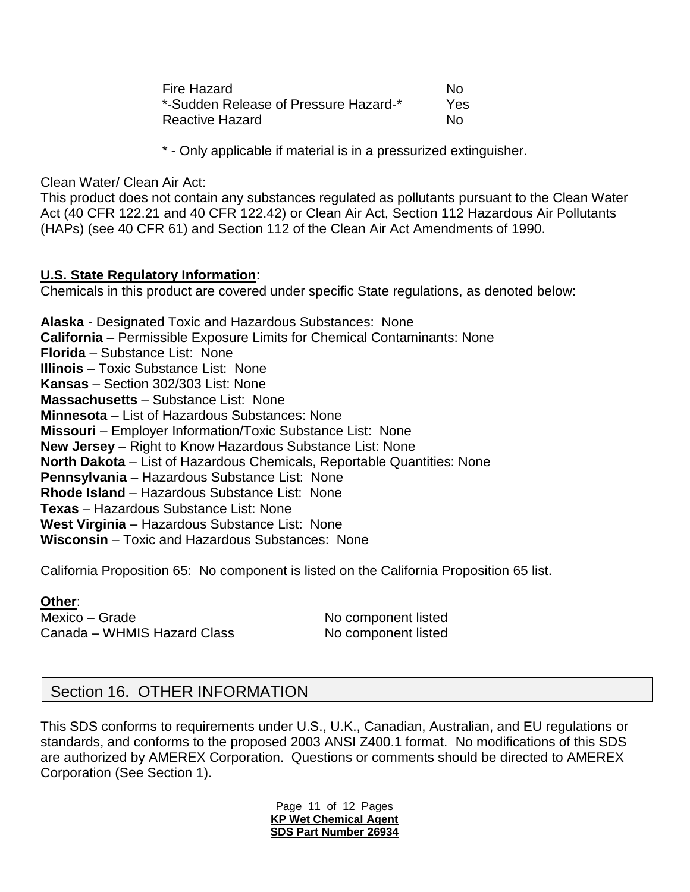| Fire Hazard                           | N٥  |
|---------------------------------------|-----|
| *-Sudden Release of Pressure Hazard-* | Yes |
| <b>Reactive Hazard</b>                | N٥  |

\* - Only applicable if material is in a pressurized extinguisher.

Clean Water/ Clean Air Act:

This product does not contain any substances regulated as pollutants pursuant to the Clean Water Act (40 CFR 122.21 and 40 CFR 122.42) or Clean Air Act, Section 112 Hazardous Air Pollutants (HAPs) (see 40 CFR 61) and Section 112 of the Clean Air Act Amendments of 1990.

## **U.S. State Regulatory Information**:

Chemicals in this product are covered under specific State regulations, as denoted below:

**Alaska** - Designated Toxic and Hazardous Substances: None **California** – Permissible Exposure Limits for Chemical Contaminants: None **Florida** – Substance List: None **Illinois** – Toxic Substance List: None **Kansas** – Section 302/303 List: None **Massachusetts** – Substance List: None **Minnesota** – List of Hazardous Substances: None **Missouri** – Employer Information/Toxic Substance List: None **New Jersey** – Right to Know Hazardous Substance List: None **North Dakota** – List of Hazardous Chemicals, Reportable Quantities: None **Pennsylvania** – Hazardous Substance List: None **Rhode Island** – Hazardous Substance List: None **Texas** – Hazardous Substance List: None **West Virginia** – Hazardous Substance List: None **Wisconsin** – Toxic and Hazardous Substances: None

California Proposition 65: No component is listed on the California Proposition 65 list.

#### **Other**:

Mexico – Grade No component listed Canada – WHMIS Hazard Class No component listed

## Section 16. OTHER INFORMATION

This SDS conforms to requirements under U.S., U.K., Canadian, Australian, and EU regulations or standards, and conforms to the proposed 2003 ANSI Z400.1 format. No modifications of this SDS are authorized by AMEREX Corporation. Questions or comments should be directed to AMEREX Corporation (See Section 1).

> Page 11 of 12 Pages **KP Wet Chemical Agent SDS Part Number 26934**